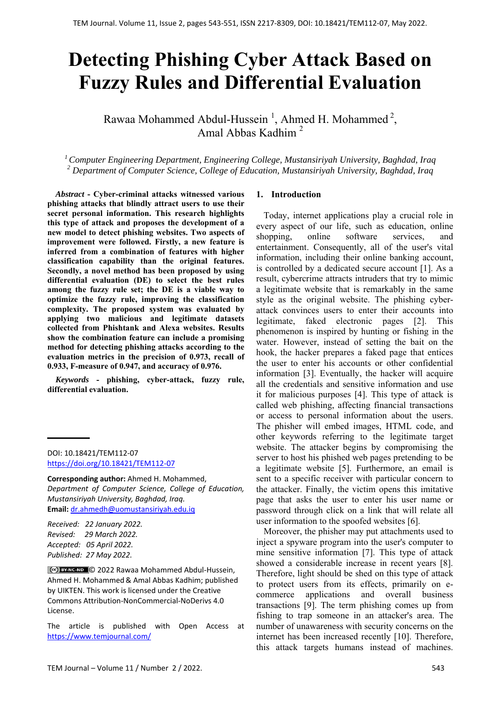# **Detecting Phishing Cyber Attack Based on Fuzzy Rules and Differential Evaluation**

Rawaa Mohammed Abdul-Hussein<sup>1</sup>, Ahmed H. Mohammed<sup>2</sup>, Amal Abbas Kadhim 2

*1 Computer Engineering Department, Engineering College, Mustansiriyah University, Baghdad, Iraq 2 Department of Computer Science, College of Education, Mustansiriyah University, Baghdad, Iraq*

*Abstract* **- Cyber-criminal attacks witnessed various phishing attacks that blindly attract users to use their secret personal information. This research highlights this type of attack and proposes the development of a new model to detect phishing websites. Two aspects of improvement were followed. Firstly, a new feature is inferred from a combination of features with higher classification capability than the original features. Secondly, a novel method has been proposed by using differential evaluation (DE) to select the best rules among the fuzzy rule set; the DE is a viable way to optimize the fuzzy rule, improving the classification complexity. The proposed system was evaluated by applying two malicious and legitimate datasets collected from Phishtank and Alexa websites. Results show the combination feature can include a promising method for detecting phishing attacks according to the evaluation metrics in the precision of 0.973, recall of 0.933, F-measure of 0.947, and accuracy of 0.976.** 

*Keywords* **- phishing, cyber-attack, fuzzy rule, differential evaluation.** 

**Corresponding author:** Ahmed H. Mohammed, *Department of Computer Science, College of Education, Mustansiriyah University, Baghdad, Iraq.*  **Email:** dr.ahmedh@uomustansiriyah.edu.iq

*Received: 22 January 2022. Revised: 29 March 2022. Accepted: 05 April 2022. Published: 27 May 2022.* 

© 2022 Rawaa Mohammed Abdul‐Hussein, Ahmed H. Mohammed& Amal Abbas Kadhim; published by UIKTEN. This work is licensed under the Creative Commons Attribution‐NonCommercial‐NoDerivs 4.0 License.

The article is published with Open Access at https://www.temjournal.com/

## **1. Introduction**

Today, internet applications play a crucial role in every aspect of our life, such as education, online shopping, online software services, and entertainment. Consequently, all of the user's vital information, including their online banking account, is controlled by a dedicated secure account [1]. As a result, cybercrime attracts intruders that try to mimic a legitimate website that is remarkably in the same style as the original website. The phishing cyberattack convinces users to enter their accounts into legitimate, faked electronic pages [2]. This phenomenon is inspired by hunting or fishing in the water. However, instead of setting the bait on the hook, the hacker prepares a faked page that entices the user to enter his accounts or other confidential information [3]. Eventually, the hacker will acquire all the credentials and sensitive information and use it for malicious purposes [4]. This type of attack is called web phishing, affecting financial transactions or access to personal information about the users. The phisher will embed images, HTML code, and other keywords referring to the legitimate target website. The attacker begins by compromising the server to host his phished web pages pretending to be a legitimate website [5]. Furthermore, an email is sent to a specific receiver with particular concern to the attacker. Finally, the victim opens this imitative page that asks the user to enter his user name or password through click on a link that will relate all user information to the spoofed websites [6].

Moreover, the phisher may put attachments used to inject a spyware program into the user's computer to mine sensitive information [7]. This type of attack showed a considerable increase in recent years [8]. Therefore, light should be shed on this type of attack to protect users from its effects, primarily on ecommerce applications and overall business transactions [9]. The term phishing comes up from fishing to trap someone in an attacker's area. The number of unawareness with security concerns on the internet has been increased recently [10]. Therefore, this attack targets humans instead of machines.

DOI: 10.18421/TEM112-07 [https://doi.org/10.18421/TEM112](https://doi.org/10.18421/TEM112-07)-07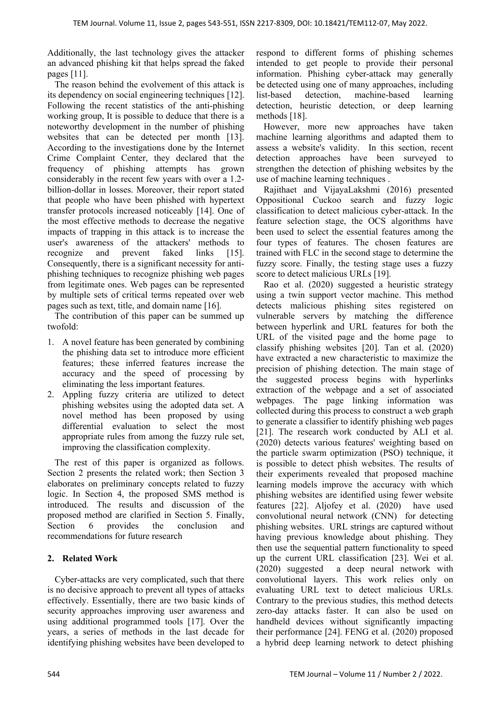Additionally, the last technology gives the attacker an advanced phishing kit that helps spread the faked pages [11].

The reason behind the evolvement of this attack is its dependency on social engineering techniques [12]. Following the recent statistics of the anti-phishing working group, It is possible to deduce that there is a noteworthy development in the number of phishing websites that can be detected per month [13]. According to the investigations done by the Internet Crime Complaint Center, they declared that the frequency of phishing attempts has grown considerably in the recent few years with over a 1.2 billion-dollar in losses. Moreover, their report stated that people who have been phished with hypertext transfer protocols increased noticeably [14]. One of the most effective methods to decrease the negative impacts of trapping in this attack is to increase the user's awareness of the attackers' methods to recognize and prevent faked links [15]. Consequently, there is a significant necessity for antiphishing techniques to recognize phishing web pages from legitimate ones. Web pages can be represented by multiple sets of critical terms repeated over web pages such as text, title, and domain name [16].

The contribution of this paper can be summed up twofold:

- 1. A novel feature has been generated by combining the phishing data set to introduce more efficient features; these inferred features increase the accuracy and the speed of processing by eliminating the less important features.
- 2. Appling fuzzy criteria are utilized to detect phishing websites using the adopted data set. A novel method has been proposed by using differential evaluation to select the most appropriate rules from among the fuzzy rule set, improving the classification complexity.

The rest of this paper is organized as follows. Section 2 presents the related work; then Section 3 elaborates on preliminary concepts related to fuzzy logic. In Section 4, the proposed SMS method is introduced. The results and discussion of the proposed method are clarified in Section 5. Finally, Section 6 provides the conclusion and recommendations for future research

# **2. Related Work**

Cyber-attacks are very complicated, such that there is no decisive approach to prevent all types of attacks effectively. Essentially, there are two basic kinds of security approaches improving user awareness and using additional programmed tools [17]. Over the years, a series of methods in the last decade for identifying phishing websites have been developed to

respond to different forms of phishing schemes intended to get people to provide their personal information. Phishing cyber-attack may generally be detected using one of many approaches, including list-based detection, machine-based learning detection, heuristic detection, or deep learning methods [18].

However, more new approaches have taken machine learning algorithms and adapted them to assess a website's validity. In this section, recent detection approaches have been surveyed to strengthen the detection of phishing websites by the use of machine learning techniques .

Rajithaet and VijayaLakshmi (2016) presented Oppositional Cuckoo search and fuzzy logic classification to detect malicious cyber-attack. In the feature selection stage, the OCS algorithms have been used to select the essential features among the four types of features. The chosen features are trained with FLC in the second stage to determine the fuzzy score. Finally, the testing stage uses a fuzzy score to detect malicious URLs [19].

Rao et al. (2020) suggested a heuristic strategy using a twin support vector machine. This method detects malicious phishing sites registered on vulnerable servers by matching the difference between hyperlink and URL features for both the URL of the visited page and the home page to classify phishing websites [20]. Tan et al. (2020) have extracted a new characteristic to maximize the precision of phishing detection. The main stage of the suggested process begins with hyperlinks extraction of the webpage and a set of associated webpages. The page linking information was collected during this process to construct a web graph to generate a classifier to identify phishing web pages [21]. The research work conducted by ALI et al. (2020) detects various features' weighting based on the particle swarm optimization (PSO) technique, it is possible to detect phish websites. The results of their experiments revealed that proposed machine learning models improve the accuracy with which phishing websites are identified using fewer website features [22]. Aljofey et al. (2020) have used convolutional neural network (CNN) for detecting phishing websites. URL strings are captured without having previous knowledge about phishing. They then use the sequential pattern functionality to speed up the current URL classification [23]. Wei et al. (2020) suggested a deep neural network with convolutional layers. This work relies only on evaluating URL text to detect malicious URLs. Contrary to the previous studies, this method detects zero-day attacks faster. It can also be used on handheld devices without significantly impacting their performance [24]. FENG et al. (2020) proposed a hybrid deep learning network to detect phishing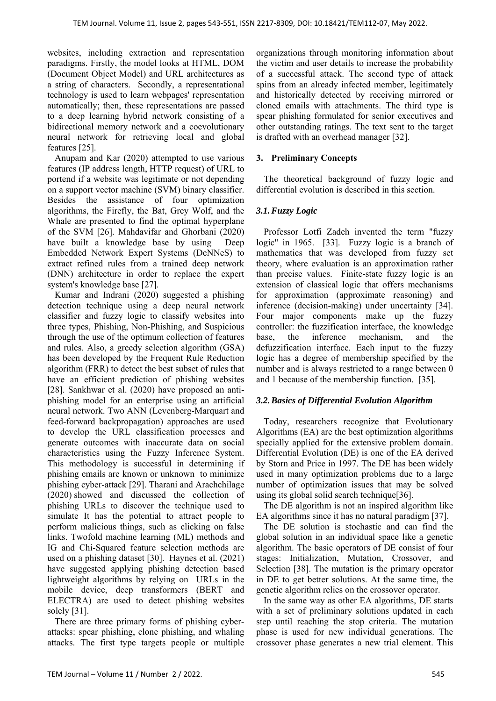websites, including extraction and representation paradigms. Firstly, the model looks at HTML, DOM (Document Object Model) and URL architectures as a string of characters. Secondly, a representational technology is used to learn webpages' representation automatically; then, these representations are passed to a deep learning hybrid network consisting of a bidirectional memory network and a coevolutionary neural network for retrieving local and global features [25].

Anupam and Kar (2020) attempted to use various features (IP address length, HTTP request) of URL to portend if a website was legitimate or not depending on a support vector machine (SVM) binary classifier. Besides the assistance of four optimization algorithms, the Firefly, the Bat, Grey Wolf, and the Whale are presented to find the optimal hyperplane of the SVM [26]. Mahdavifar and Ghorbani (2020) have built a knowledge base by using Deep Embedded Network Expert Systems (DeNNeS) to extract refined rules from a trained deep network (DNN) architecture in order to replace the expert system's knowledge base [27].

Kumar and Indrani (2020) suggested a phishing detection technique using a deep neural network classifier and fuzzy logic to classify websites into three types, Phishing, Non-Phishing, and Suspicious through the use of the optimum collection of features and rules. Also, a greedy selection algorithm (GSA) has been developed by the Frequent Rule Reduction algorithm (FRR) to detect the best subset of rules that have an efficient prediction of phishing websites [28]. Sankhwar et al. (2020) have proposed an antiphishing model for an enterprise using an artificial neural network. Two ANN (Levenberg-Marquart and feed-forward backpropagation) approaches are used to develop the URL classification processes and generate outcomes with inaccurate data on social characteristics using the Fuzzy Inference System. This methodology is successful in determining if phishing emails are known or unknown to minimize phishing cyber-attack [29]. Tharani and Arachchilage (2020) showed and discussed the collection of phishing URLs to discover the technique used to simulate It has the potential to attract people to perform malicious things, such as clicking on false links. Twofold machine learning (ML) methods and IG and Chi-Squared feature selection methods are used on a phishing dataset [30]. Haynes et al. (2021) have suggested applying phishing detection based lightweight algorithms by relying on URLs in the mobile device, deep transformers (BERT and ELECTRA) are used to detect phishing websites solely [31].

There are three primary forms of phishing cyberattacks: spear phishing, clone phishing, and whaling attacks. The first type targets people or multiple organizations through monitoring information about the victim and user details to increase the probability of a successful attack. The second type of attack spins from an already infected member, legitimately and historically detected by receiving mirrored or cloned emails with attachments. The third type is spear phishing formulated for senior executives and other outstanding ratings. The text sent to the target is drafted with an overhead manager [32].

# **3. Preliminary Concepts**

The theoretical background of fuzzy logic and differential evolution is described in this section.

# *3.1.Fuzzy Logic*

Professor Lotfi Zadeh invented the term "fuzzy logic" in 1965. [33]. Fuzzy logic is a branch of mathematics that was developed from fuzzy set theory, where evaluation is an approximation rather than precise values. Finite-state fuzzy logic is an extension of classical logic that offers mechanisms for approximation (approximate reasoning) and inference (decision-making) under uncertainty [34]. Four major components make up the fuzzy controller: the fuzzification interface, the knowledge base, the inference mechanism, and the defuzzification interface. Each input to the fuzzy logic has a degree of membership specified by the number and is always restricted to a range between 0 and 1 because of the membership function. [35].

## *3.2.Basics of Differential Evolution Algorithm*

Today, researchers recognize that Evolutionary Algorithms (EA) are the best optimization algorithms specially applied for the extensive problem domain. Differential Evolution (DE) is one of the EA derived by Storn and Price in 1997. The DE has been widely used in many optimization problems due to a large number of optimization issues that may be solved using its global solid search technique[36].

The DE algorithm is not an inspired algorithm like EA algorithms since it has no natural paradigm [37].

The DE solution is stochastic and can find the global solution in an individual space like a genetic algorithm. The basic operators of DE consist of four stages: Initialization, Mutation, Crossover, and Selection [38]. The mutation is the primary operator in DE to get better solutions. At the same time, the genetic algorithm relies on the crossover operator.

In the same way as other EA algorithms, DE starts with a set of preliminary solutions updated in each step until reaching the stop criteria. The mutation phase is used for new individual generations. The crossover phase generates a new trial element. This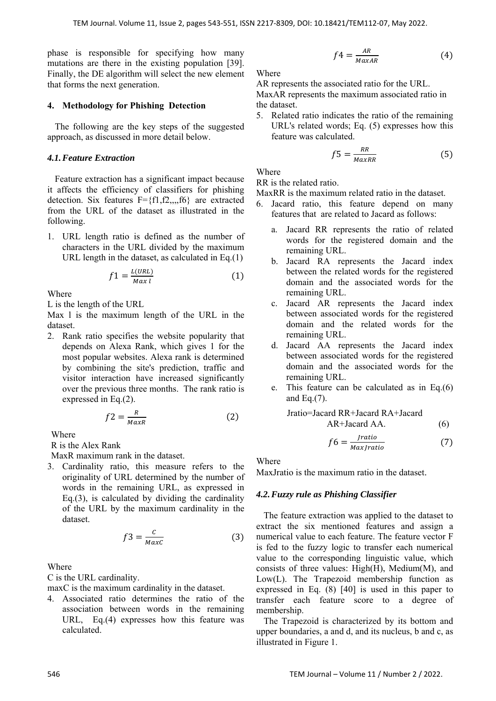phase is responsible for specifying how many mutations are there in the existing population [39]. Finally, the DE algorithm will select the new element that forms the next generation.

## **4. Methodology for Phishing Detection**

The following are the key steps of the suggested approach, as discussed in more detail below.

## *4.1.Feature Extraction*

Feature extraction has a significant impact because it affects the efficiency of classifiers for phishing detection. Six features  $F = \{f1, f2, \ldots, f6\}$  are extracted from the URL of the dataset as illustrated in the following.

1. URL length ratio is defined as the number of characters in the URL divided by the maximum URL length in the dataset, as calculated in Eq.(1)

$$
f1 = \frac{L(URL)}{Max l} \tag{1}
$$

Where

L is the length of the URL

Max l is the maximum length of the URL in the dataset.

2. Rank ratio specifies the website popularity that depends on Alexa Rank, which gives 1 for the most popular websites. Alexa rank is determined by combining the site's prediction, traffic and visitor interaction have increased significantly over the previous three months. The rank ratio is expressed in Eq.(2).

$$
f2 = \frac{R}{MaxR}
$$
 (2)

Where

R is the Alex Rank

MaxR maximum rank in the dataset.

3. Cardinality ratio, this measure refers to the originality of URL determined by the number of words in the remaining URL, as expressed in Eq.(3), is calculated by dividing the cardinality of the URL by the maximum cardinality in the dataset.

$$
f3 = \frac{c}{\text{MaxC}}\tag{3}
$$

Where

C is the URL cardinality.

maxC is the maximum cardinality in the dataset.

4. Associated ratio determines the ratio of the association between words in the remaining URL, Eq.(4) expresses how this feature was calculated.

$$
f4 = \frac{AR}{MaxAR}
$$
 (4)

Where

AR represents the associated ratio for the URL. MaxAR represents the maximum associated ratio in the dataset.

5. Related ratio indicates the ratio of the remaining URL's related words; Eq. (5) expresses how this feature was calculated.

$$
f5 = \frac{RR}{MaxRR}
$$
 (5)

Where

RR is the related ratio.

MaxRR is the maximum related ratio in the dataset.

- 6. Jacard ratio, this feature depend on many features that are related to Jacard as follows:
	- a. Jacard RR represents the ratio of related words for the registered domain and the remaining URL.
- $\frac{N(NL)}{Max \ l}$  (1) between the related words for the registered  $\frac{N(NL)}{N \alpha x \ l}$  domain and the associated words for the b. Jacard RA represents the Jacard index between the related words for the registered remaining URL.
	- c. Jacard AR represents the Jacard index between associated words for the registered domain and the related words for the remaining URL.
	- d. Jacard AA represents the Jacard index between associated words for the registered domain and the associated words for the remaining URL.
	- e. This feature can be calculated as in Eq.(6) and Eq.(7).

Jratio=Jacard RR+Jacard RA+Jacard AR+Jacard AA. (6)

$$
f6 = \frac{Jratio}{MaxJratio} \tag{7}
$$

Where

MaxJratio is the maximum ratio in the dataset.

## *4.2.Fuzzy rule as Phishing Classifier*

The feature extraction was applied to the dataset to extract the six mentioned features and assign a numerical value to each feature. The feature vector F is fed to the fuzzy logic to transfer each numerical value to the corresponding linguistic value, which consists of three values: High(H), Medium(M), and Low(L). The Trapezoid membership function as expressed in Eq. (8) [40] is used in this paper to transfer each feature score to a degree of membership.

The Trapezoid is characterized by its bottom and upper boundaries, a and d, and its nucleus, b and c, as illustrated in Figure 1.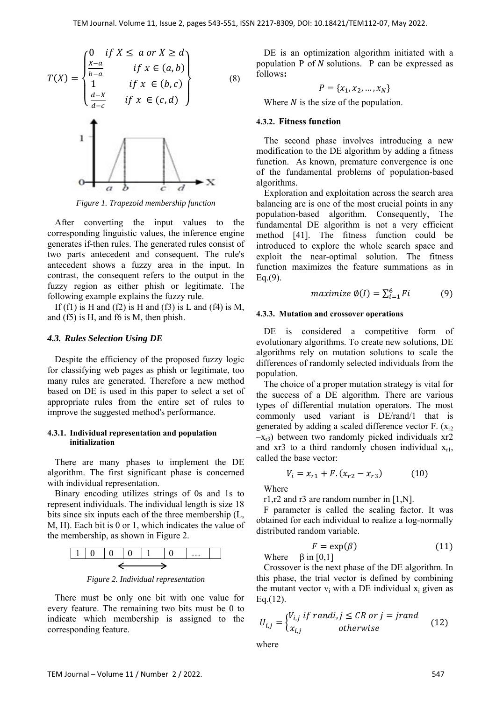$$
T(X) = \begin{cases} 0 & \text{if } X \le a \text{ or } X \ge d \\ \frac{X-a}{b-a} & \text{if } x \in (a,b) \\ 1 & \text{if } x \in (b,c) \\ \frac{d-X}{d-c} & \text{if } x \in (c,d) \end{cases}
$$
 (8)



*Figure 1. Trapezoid membership function* 

After converting the input values to the corresponding linguistic values, the inference engine generates if-then rules. The generated rules consist of two parts antecedent and consequent. The rule's antecedent shows a fuzzy area in the input. In contrast, the consequent refers to the output in the fuzzy region as either phish or legitimate. The following example explains the fuzzy rule.

If (f1) is H and (f2) is H and (f3) is L and (f4) is M, and (f5) is H, and f6 is M, then phish.

#### *4.3. Rules Selection Using DE*

Despite the efficiency of the proposed fuzzy logic for classifying web pages as phish or legitimate, too many rules are generated. Therefore a new method based on DE is used in this paper to select a set of appropriate rules from the entire set of rules to improve the suggested method's performance.

#### **4.3.1. Individual representation and population initialization**

There are many phases to implement the DE algorithm. The first significant phase is concerned with individual representation.

Binary encoding utilizes strings of 0s and 1s to represent individuals. The individual length is size 18 bits since six inputs each of the three membership (L, M, H). Each bit is 0 or 1, which indicates the value of the membership, as shown in Figure 2.



*Figure 2. Individual representation*

There must be only one bit with one value for every feature. The remaining two bits must be 0 to indicate which membership is assigned to the corresponding feature.

DE is an optimization algorithm initiated with a population  $P$  of  $N$  solutions.  $P$  can be expressed as follows**:** 

$$
P = \{x_1, x_2, \ldots, x_N\}
$$

Where  $N$  is the size of the population.

#### **4.3.2. Fitness function**

The second phase involves introducing a new modification to the DE algorithm by adding a fitness function. As known, premature convergence is one of the fundamental problems of population-based algorithms.

Exploration and exploitation across the search area balancing are is one of the most crucial points in any population-based algorithm. Consequently, The fundamental DE algorithm is not a very efficient method [41]. The fitness function could be introduced to explore the whole search space and exploit the near-optimal solution. The fitness function maximizes the feature summations as in  $Eq.(9)$ .

$$
maximize \space \emptyset(I) = \sum_{i=1}^{6} Fi \tag{9}
$$

#### **4.3.3. Mutation and crossover operations**

DE is considered a competitive form of evolutionary algorithms. To create new solutions, DE algorithms rely on mutation solutions to scale the differences of randomly selected individuals from the population.

The choice of a proper mutation strategy is vital for the success of a DE algorithm. There are various types of differential mutation operators. The most commonly used variant is DE/rand/1 that is generated by adding a scaled difference vector  $F(x_r)$  $(-x_{r3})$  between two randomly picked individuals xr2 and  $x r 3$  to a third randomly chosen individual  $x_{r1}$ , called the base vector:

$$
V_i = x_{r1} + F \cdot (x_{r2} - x_{r3}) \tag{10}
$$

Where

r1,r2 and r3 are random number in [1,N].

F parameter is called the scaling factor. It was obtained for each individual to realize a log-normally distributed random variable.

$$
F = \exp(\beta) \tag{11}
$$

Where  $\beta$  in [0,1]

Crossover is the next phase of the DE algorithm. In this phase, the trial vector is defined by combining the mutant vector  $v_i$  with a DE individual  $x_i$  given as Eq.(12).

$$
U_{i,j} = \begin{cases} V_{i,j} & if \, randi, j \leq CR \, or \, j = jrand \\ x_{i,j} & otherwise \end{cases} \tag{12}
$$

where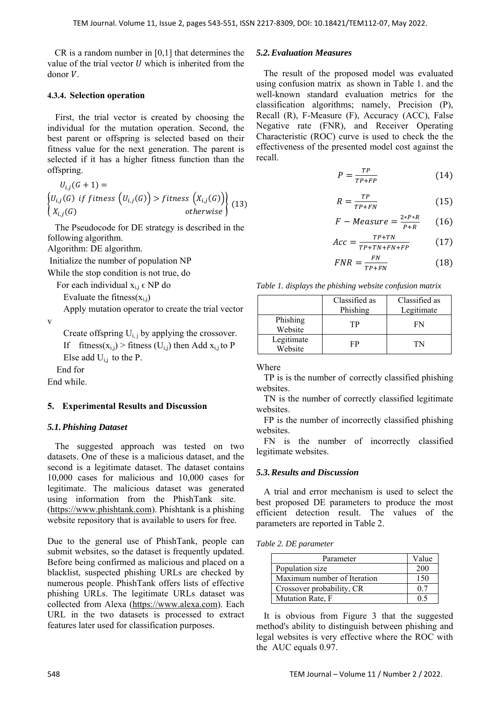CR is a random number in [0,1] that determines the value of the trial vector  $U$  which is inherited from the donor  $V$ .

## **4.3.4. Selection operation**

First, the trial vector is created by choosing the individual for the mutation operation. Second, the best parent or offspring is selected based on their fitness value for the next generation. The parent is selected if it has a higher fitness function than the offspring.

$$
U_{i,j}(G+1) =
$$
\n
$$
\begin{cases}\nU_{i,j}(G) & if \text{ fitness } (U_{i,j}(G)) > \text{fitness } (X_{i,j}(G)) \\
X_{i,j}(G) & \text{otherwise}\n\end{cases}
$$
\n(13)

The Pseudocode for DE strategy is described in the following algorithm.

Algorithm: DE algorithm.

Initialize the number of population NP

While the stop condition is not true, do

For each individual  $x_{i,j} \in NP$  do

Evaluate the fitness $(x_{i,j})$ 

Apply mutation operator to create the trial vector

v

Create offspring  $U_{i,j}$  by applying the crossover. If fitness( $x_{i,j}$ ) > fitness ( $U_{i,j}$ ) then Add  $x_{i,j}$  to P Else add  $U_{i,j}$  to the P.

End for

End while.

## **5. Experimental Results and Discussion**

## *5.1.Phishing Dataset*

The suggested approach was tested on two datasets. One of these is a malicious dataset, and the second is a legitimate dataset. The dataset contains 10,000 cases for malicious and 10,000 cases for legitimate. The malicious dataset was generated using information from the PhishTank site. (https://www.phishtank.com). Phishtank is a phishing website repository that is available to users for free.

Due to the general use of PhishTank, people can submit websites, so the dataset is frequently updated. Before being confirmed as malicious and placed on a blacklist, suspected phishing URLs are checked by numerous people. PhishTank offers lists of effective phishing URLs. The legitimate URLs dataset was collected from Alexa (https://www.alexa.com). Each URL in the two datasets is processed to extract features later used for classification purposes.

## *5.2.Evaluation Measures*

The result of the proposed model was evaluated using confusion matrix as shown in Table 1. and the well-known standard evaluation metrics for the classification algorithms; namely, Precision (P), Recall (R), F-Measure (F), Accuracy (ACC), False Negative rate (FNR), and Receiver Operating Characteristic (ROC) curve is used to check the the effectiveness of the presented model cost against the recall.

$$
P = \frac{TP}{TP + FP} \tag{14}
$$

$$
R = \frac{TP}{TP + FN} \tag{15}
$$

$$
F-Measure = \frac{2*P*R}{P+R} \qquad (16)
$$

$$
Acc = \frac{TP + TN}{TP + TN + FN + FP}
$$
 (17)

$$
FNR = \frac{FN}{TP+FN} \tag{18}
$$

*Table 1. displays the phishing website confusion matrix* 

|                       | Classified as<br>Phishing | Classified as<br>Legitimate |
|-----------------------|---------------------------|-----------------------------|
| Phishing<br>Website   | TР                        | FN                          |
| Legitimate<br>Website | FP                        | TN                          |

#### Where

TP is is the number of correctly classified phishing websites.

TN is the number of correctly classified legitimate websites.

FP is the number of incorrectly classified phishing websites.

FN is the number of incorrectly classified legitimate websites.

## *5.3.Results and Discussion*

A trial and error mechanism is used to select the best proposed DE parameters to produce the most efficient detection result. The values of the parameters are reported in Table 2.

## *Table 2. DE parameter*

| Parameter                   | Value |
|-----------------------------|-------|
| Population size             | 200   |
| Maximum number of Iteration | 150   |
| Crossover probability, CR   | 07    |
| Mutation Rate, F            | 0 ና   |

It is obvious from Figure 3 that the suggested method's ability to distinguish between phishing and legal websites is very effective where the ROC with the AUC equals 0.97.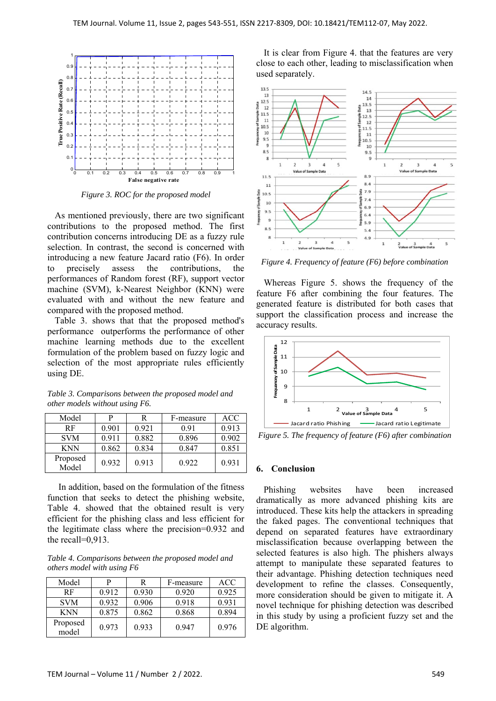

*Figure 3. ROC for the proposed model*

As mentioned previously, there are two significant contributions to the proposed method. The first contribution concerns introducing DE as a fuzzy rule selection. In contrast, the second is concerned with introducing a new feature Jacard ratio (F6). In order to precisely assess the contributions, the performances of Random forest (RF), support vector machine (SVM), k-Nearest Neighbor (KNN) were evaluated with and without the new feature and compared with the proposed method.

Table 3. shows that that the proposed method's performance outperforms the performance of other machine learning methods due to the excellent formulation of the problem based on fuzzy logic and selection of the most appropriate rules efficiently using DE.

| Model             | Р     | R     | F-measure | <b>ACC</b> |
|-------------------|-------|-------|-----------|------------|
| RF                | 0.901 | 0.921 | 0.91      | 0.913      |
| <b>SVM</b>        | 0.911 | 0.882 | 0.896     | 0.902      |
| <b>KNN</b>        | 0.862 | 0.834 | 0.847     | 0.851      |
| Proposed<br>Model | 0.932 | 0.913 | 0.922     | 0.931      |

*Table 3. Comparisons between the proposed model and other models without using F6.* 

In addition, based on the formulation of the fitness function that seeks to detect the phishing website, Table 4. showed that the obtained result is very efficient for the phishing class and less efficient for the legitimate class where the precision=0.932 and the recall=0,913.

*Table 4. Comparisons between the proposed model and others model with using F6* 

| Model             | р     | R     | F-measure | <b>ACC</b> |
|-------------------|-------|-------|-----------|------------|
| RF                | 0.912 | 0.930 | 0.920     | 0.925      |
| <b>SVM</b>        | 0.932 | 0.906 | 0.918     | 0.931      |
| <b>KNN</b>        | 0.875 | 0.862 | 0.868     | 0.894      |
| Proposed<br>model | 0.973 | 0.933 | 0.947     | 0.976      |

It is clear from Figure 4. that the features are very close to each other, leading to misclassification when used separately.



*Figure 4. Frequency of feature (F6) before combination* 

Whereas Figure 5. shows the frequency of the feature F6 after combining the four features. The generated feature is distributed for both cases that support the classification process and increase the accuracy results.



*Figure 5. The frequency of feature (F6) after combination* 

## **6. Conclusion**

Phishing websites have been increased dramatically as more advanced phishing kits are introduced. These kits help the attackers in spreading the faked pages. The conventional techniques that depend on separated features have extraordinary misclassification because overlapping between the selected features is also high. The phishers always attempt to manipulate these separated features to their advantage. Phishing detection techniques need development to refine the classes. Consequently, more consideration should be given to mitigate it. A novel technique for phishing detection was described in this study by using a proficient fuzzy set and the DE algorithm.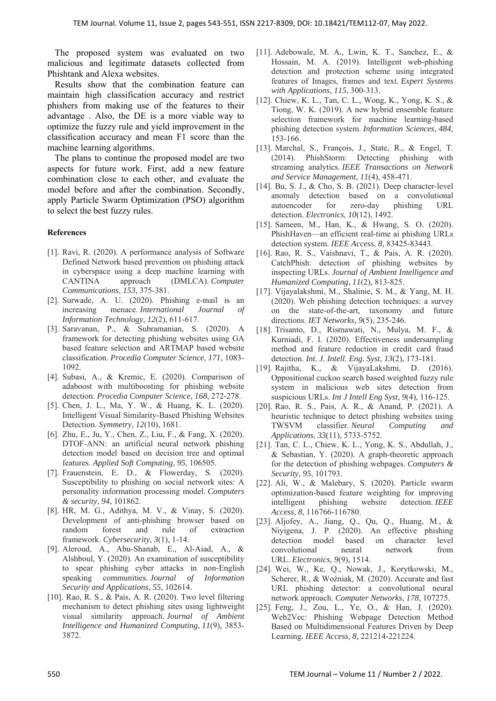The proposed system was evaluated on two malicious and legitimate datasets collected from Phishtank and Alexa websites.

Results show that the combination feature can maintain high classification accuracy and restrict phishers from making use of the features to their advantage . Also, the DE is a more viable way to optimize the fuzzy rule and yield improvement in the classification accuracy and mean F1 score than the machine learning algorithms.

The plans to continue the proposed model are two aspects for future work. First, add a new feature combination close to each other, and evaluate the model before and after the combination. Secondly, apply Particle Swarm Optimization (PSO) algorithm to select the best fuzzy rules.

## **References**

- [1]. Ravi, R. (2020). A performance analysis of Software Defined Network based prevention on phishing attack in cyberspace using a deep machine learning with CANTINA approach (DMLCA). *Computer Communications*, *153*, 375-381.
- [2]. Surwade, A. U. (2020). Phishing e-mail is an increasing menace. *International Journal of Information Technology*, *12*(2), 611-617.
- [3]. Saravanan, P., & Subramanian, S. (2020). A framework for detecting phishing websites using GA based feature selection and ARTMAP based website classification. *Procedia Computer Science*, *171*, 1083- 1092.
- [4]. Subasi, A., & Kremic, E. (2020). Comparison of adaboost with multiboosting for phishing website detection. *Procedia Computer Science*, *168*, 272-278.
- [5]. Chen, J. L., Ma, Y. W., & Huang, K. L. (2020). Intelligent Visual Similarity-Based Phishing Websites Detection. *Symmetry*, *12*(10), 1681.
- [6]. Zhu, E., Ju, Y., Chen, Z., Liu, F., & Fang, X. (2020). DTOF-ANN: an artificial neural network phishing detection model based on decision tree and optimal features. *Applied Soft Computing*, *95*, 106505.
- [7]. Frauenstein, E. D., & Flowerday, S. (2020). Susceptibility to phishing on social network sites: A personality information processing model. *Computers & security*, *94*, 101862.
- [8]. HR, M. G., Adithya, M. V., & Vinay, S. (2020). Development of anti-phishing browser based on random forest and rule of extraction framework. *Cybersecurity*, *3*(1), 1-14.
- [9]. Aleroud, A., Abu-Shanab, E., Al-Aiad, A., & Alshboul, Y. (2020). An examination of susceptibility to spear phishing cyber attacks in non-English speaking communities. *Journal of Information Security and Applications*, *55*, 102614.
- [10]. Rao, R. S., & Pais, A. R. (2020). Two level filtering mechanism to detect phishing sites using lightweight visual similarity approach. *Journal of Ambient Intelligence and Humanized Computing*, *11*(9), 3853- 3872.
- [11]. Adebowale, M. A., Lwin, K. T., Sanchez, E., & Hossain, M. A. (2019). Intelligent web-phishing detection and protection scheme using integrated features of Images, frames and text. *Expert Systems with Applications*, *115*, 300-313.
- [12]. Chiew, K. L., Tan, C. L., Wong, K., Yong, K. S., & Tiong, W. K. (2019). A new hybrid ensemble feature selection framework for machine learning-based phishing detection system. *Information Sciences*, *484*, 153-166.
- [13]. Marchal, S., François, J., State, R., & Engel, T. (2014). PhishStorm: Detecting phishing with streaming analytics. *IEEE Transactions on Network and Service Management*, *11*(4), 458-471.
- [14]. Bu, S. J., & Cho, S. B. (2021). Deep character-level anomaly detection based on a convolutional autoencoder for zero-day phishing URL detection. *Electronics*, *10*(12), 1492.
- [15]. Sameen, M., Han, K., & Hwang, S. O. (2020). PhishHaven—an efficient real-time ai phishing URLs detection system. *IEEE Access*, *8*, 83425-83443.
- [16]. Rao, R. S., Vaishnavi, T., & Pais, A. R. (2020). CatchPhish: detection of phishing websites by inspecting URLs. *Journal of Ambient Intelligence and Humanized Computing*, *11*(2), 813-825.
- [17]. Vijayalakshmi, M., Shalinie, S. M., & Yang, M. H. (2020). Web phishing detection techniques: a survey on the state-of-the-art, taxonomy and future directions. *IET Networks*, *9*(5), 235-246.
- [18]. Trisanto, D., Rismawati, N., Mulya, M. F., & Kurniadi, F. I. (2020). Effectiveness undersampling method and feature reduction in credit card fraud detection. *Int. J. Intell. Eng. Syst*, *13*(2), 173-181.
- [19]. Rajitha, K., & VijayaLakshmi, D. (2016). Oppositional cuckoo search based weighted fuzzy rule system in malicious web sites detection from suspicious URLs. *Int J Intell Eng Syst*, *9*(4), 116-125.
- [20]. Rao, R. S., Pais, A. R., & Anand, P. (2021). A heuristic technique to detect phishing websites using TWSVM classifier. *Neural Computing and Applications*, *33*(11), 5733-5752.
- [21]. Tan, C. L., Chiew, K. L., Yong, K. S., Abdullah, J., & Sebastian, Y. (2020). A graph-theoretic approach for the detection of phishing webpages. *Computers & Security*, *95*, 101793.
- [22]. Ali, W., & Malebary, S. (2020). Particle swarm optimization-based feature weighting for improving intelligent phishing website detection. *IEEE Access*, *8*, 116766-116780.
- [23]. Aljofey, A., Jiang, Q., Qu, Q., Huang, M., & Niyigena, J. P. (2020). An effective phishing detection model based on character level convolutional neural network from URL. *Electronics*, *9*(9), 1514.
- [24]. Wei, W., Ke, Q., Nowak, J., Korytkowski, M., Scherer, R., & Woźniak, M. (2020). Accurate and fast URL phishing detector: a convolutional neural network approach. *Computer Networks*, *178*, 107275.
- [25]. Feng, J., Zou, L., Ye, O., & Han, J. (2020). Web2Vec: Phishing Webpage Detection Method Based on Multidimensional Features Driven by Deep Learning. *IEEE Access*, *8*, 221214-221224.